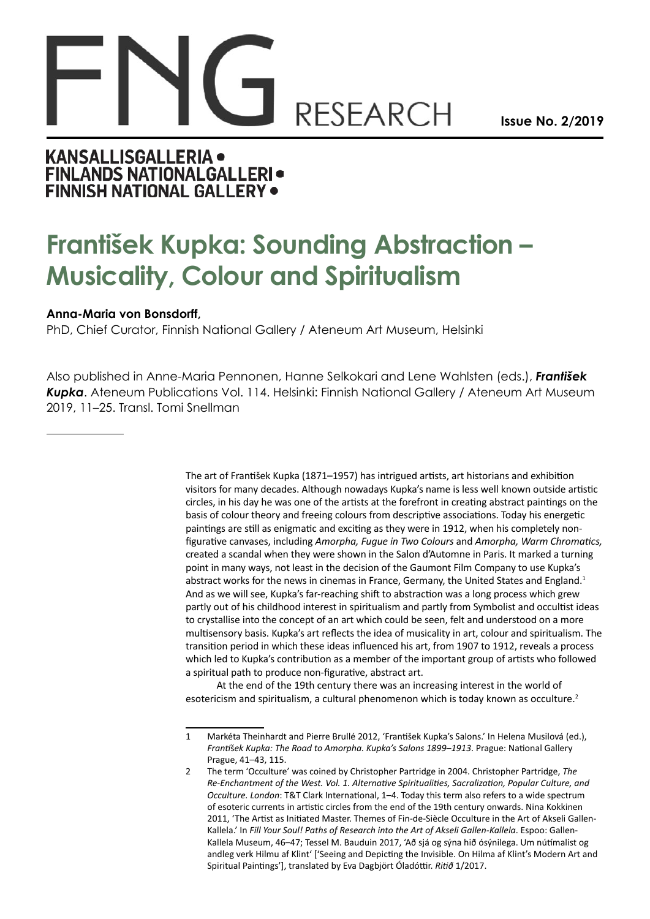# **RESEARCH**

**Issue No. 2/2019**

## **KANSALLISGALLERIA . FINLANDS NATIONALGALLERI . FINNISH NATIONAL GALLERY .**

# **František Kupka: Sounding Abstraction – Musicality, Colour and Spiritualism**

### **Anna-Maria von Bonsdorff,**

PhD, Chief Curator, Finnish National Gallery / Ateneum Art Museum, Helsinki

Also published in Anne-Maria Pennonen, Hanne Selkokari and Lene Wahlsten (eds.), *František Kupka*. Ateneum Publications Vol. 114. Helsinki: Finnish National Gallery / Ateneum Art Museum 2019, 11–25. Transl. Tomi Snellman

> The art of František Kupka (1871–1957) has intrigued artists, art historians and exhibition visitors for many decades. Although nowadays Kupka's name is less well known outside artistic circles, in his day he was one of the artists at the forefront in creating abstract paintings on the basis of colour theory and freeing colours from descriptive associations. Today his energetic paintings are still as enigmatic and exciting as they were in 1912, when his completely nonfigurative canvases, including *Amorpha, Fugue in Two Colours* and *Amorpha, Warm Chromatics,* created a scandal when they were shown in the Salon d'Automne in Paris. It marked a turning point in many ways, not least in the decision of the Gaumont Film Company to use Kupka's abstract works for the news in cinemas in France, Germany, the United States and England. $1$ And as we will see, Kupka's far-reaching shift to abstraction was a long process which grew partly out of his childhood interest in spiritualism and partly from Symbolist and occultist ideas to crystallise into the concept of an art which could be seen, felt and understood on a more multisensory basis. Kupka's art reflects the idea of musicality in art, colour and spiritualism. The transition period in which these ideas influenced his art, from 1907 to 1912, reveals a process which led to Kupka's contribution as a member of the important group of artists who followed a spiritual path to produce non-figurative, abstract art.

At the end of the 19th century there was an increasing interest in the world of esotericism and spiritualism, a cultural phenomenon which is today known as occulture.<sup>2</sup>

<sup>1</sup> Markéta Theinhardt and Pierre Brullé 2012, 'František Kupka's Salons.' In Helena Musilová (ed.), *Franti*š*ek Kupka: The Road to Amorpha. Kupka's Salons 1899–1913*. Prague: National Gallery Prague, 41–43, 115.

<sup>2</sup> The term 'Occulture' was coined by Christopher Partridge in 2004. Christopher Partridge, *The Re-Enchantment of the West. Vol. 1. Alternative Spiritualities, Sacralization, Popular Culture, and Occulture. London*: T&T Clark International, 1–4. Today this term also refers to a wide spectrum of esoteric currents in artistic circles from the end of the 19th century onwards. Nina Kokkinen 2011, 'The Artist as Initiated Master. Themes of Fin-de-Siècle Occulture in the Art of Akseli Gallen-Kallela.' In *Fill Your Soul! Paths of Research into the Art of Akseli Gallen-Kallela*. Espoo: Gallen-Kallela Museum, 46–47; Tessel M. Bauduin 2017, 'Að sjá og sýna hið ósýnilega. Um nútímalist og andleg verk Hilmu af Klint' ['Seeing and Depicting the Invisible. On Hilma af Klint's Modern Art and Spiritual Paintings'], translated by Eva Dagbjört Óladóttir. *Ritið* 1/2017.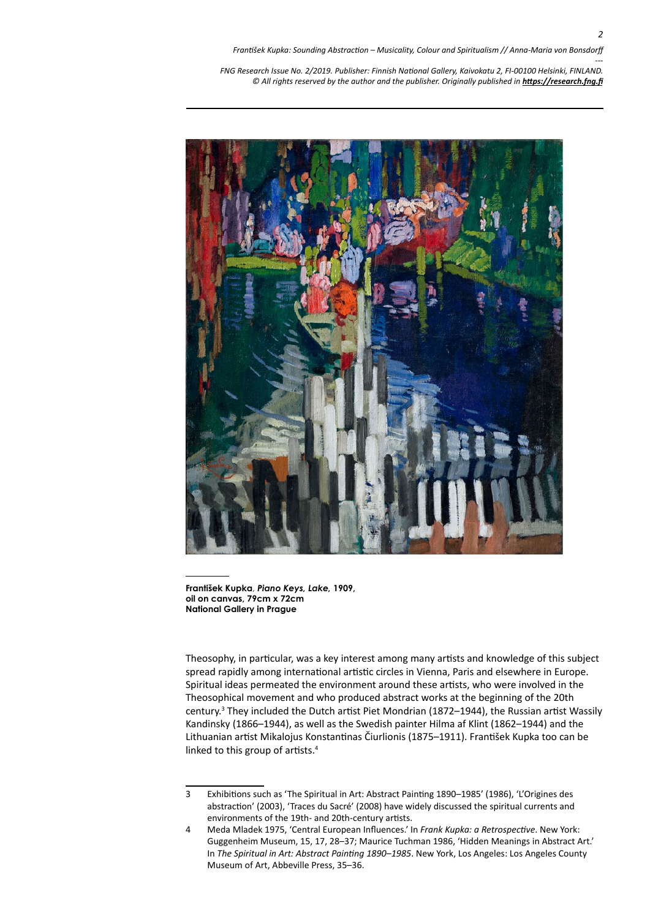

**František Kupka**, *Piano Keys, Lake,* **1909, oil on canvas, 79cm x 72cm National Gallery in Prague**

Theosophy, in particular, was a key interest among many artists and knowledge of this subject spread rapidly among international artistic circles in Vienna, Paris and elsewhere in Europe. Spiritual ideas permeated the environment around these artists, who were involved in the Theosophical movement and who produced abstract works at the beginning of the 20th century.<sup>3</sup> They included the Dutch artist Piet Mondrian (1872–1944), the Russian artist Wassily Kandinsky (1866–1944), as well as the Swedish painter Hilma af Klint (1862–1944) and the Lithuanian artist Mikalojus Konstantinas Čiurlionis (1875–1911). František Kupka too can be linked to this group of artists.4

<sup>3</sup> Exhibitions such as 'The Spiritual in Art: Abstract Painting 1890–1985' (1986), 'L'Origines des abstraction' (2003), 'Traces du Sacré' (2008) have widely discussed the spiritual currents and environments of the 19th- and 20th-century artists.

<sup>4</sup> Meda Mladek 1975, 'Central European Influences.' In *Frank Kupka: a Retrospective*. New York: Guggenheim Museum, 15, 17, 28–37; Maurice Tuchman 1986, 'Hidden Meanings in Abstract Art.' In *The Spiritual in Art: Abstract Painting 1890*–*1985*. New York, Los Angeles: Los Angeles County Museum of Art, Abbeville Press, 35–36.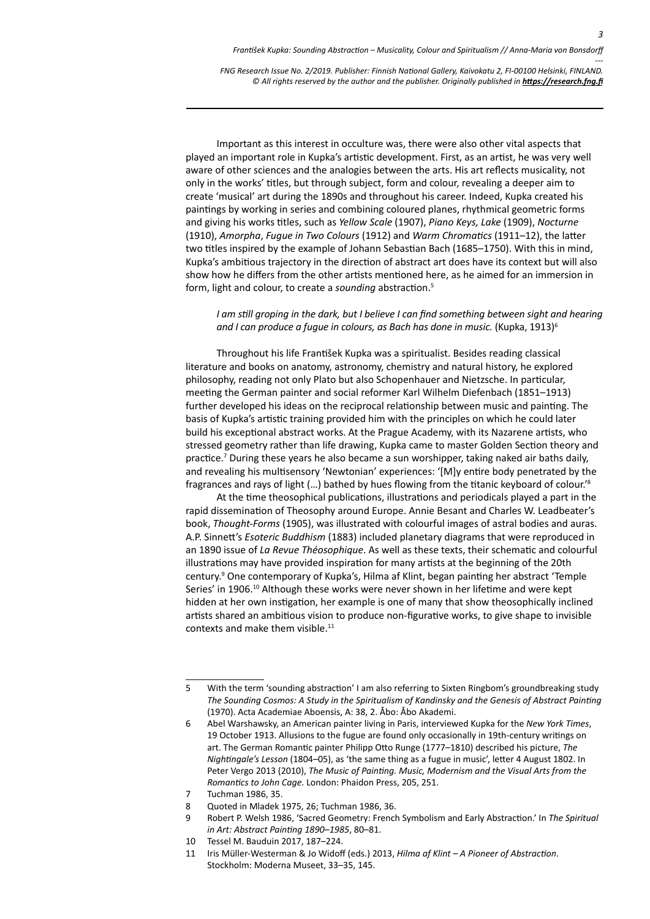Important as this interest in occulture was, there were also other vital aspects that played an important role in Kupka's artistic development. First, as an artist, he was very well aware of other sciences and the analogies between the arts. His art reflects musicality, not only in the works' titles, but through subject, form and colour, revealing a deeper aim to create 'musical' art during the 1890s and throughout his career. Indeed, Kupka created his paintings by working in series and combining coloured planes, rhythmical geometric forms and giving his works titles, such as *Yellow Scale* (1907), *Piano Keys, Lake* (1909), *Nocturne*  (1910), *Amorpha*, *Fugue in Two Colours* (1912) and *Warm Chromatics* (1911–12), the latter two titles inspired by the example of Johann Sebastian Bach (1685–1750). With this in mind, Kupka's ambitious trajectory in the direction of abstract art does have its context but will also show how he differs from the other artists mentioned here, as he aimed for an immersion in form, light and colour, to create a *sounding* abstraction.5

### *I am still groping in the dark, but I believe I can find something between sight and hearing* and I can produce a fugue in colours, as Bach has done in music. (Kupka, 1913)<sup>6</sup>

Throughout his life František Kupka was a spiritualist. Besides reading classical literature and books on anatomy, astronomy, chemistry and natural history, he explored philosophy, reading not only Plato but also Schopenhauer and Nietzsche. In particular, meeting the German painter and social reformer Karl Wilhelm Diefenbach (1851–1913) further developed his ideas on the reciprocal relationship between music and painting. The basis of Kupka's artistic training provided him with the principles on which he could later build his exceptional abstract works. At the Prague Academy, with its Nazarene artists, who stressed geometry rather than life drawing, Kupka came to master Golden Section theory and practice.<sup>7</sup> During these years he also became a sun worshipper, taking naked air baths daily, and revealing his multisensory 'Newtonian' experiences: '[M]y entire body penetrated by the fragrances and rays of light (…) bathed by hues flowing from the titanic keyboard of colour.'8

At the time theosophical publications, illustrations and periodicals played a part in the rapid dissemination of Theosophy around Europe. Annie Besant and Charles W. Leadbeater's book, *Thought-Forms* (1905), was illustrated with colourful images of astral bodies and auras. A.P. Sinnett's *Esoteric Buddhism* (1883) included planetary diagrams that were reproduced in an 1890 issue of *La Revue Théosophique*. As well as these texts, their schematic and colourful illustrations may have provided inspiration for many artists at the beginning of the 20th century.9 One contemporary of Kupka's, Hilma af Klint, began painting her abstract 'Temple Series' in 1906.<sup>10</sup> Although these works were never shown in her lifetime and were kept hidden at her own instigation, her example is one of many that show theosophically inclined artists shared an ambitious vision to produce non-figurative works, to give shape to invisible contexts and make them visible.11

8 Quoted in Mladek 1975, 26; Tuchman 1986, 36.

*---*

<sup>5</sup> With the term 'sounding abstraction' I am also referring to Sixten Ringbom's groundbreaking study *The Sounding Cosmos: A Study in the Spiritualism of Kandinsky and the Genesis of Abstract Painting* (1970). Acta Academiae Aboensis, A: 38, 2. Åbo: Åbo Akademi.

<sup>6</sup> Abel Warshawsky, an American painter living in Paris, interviewed Kupka for the *New York Times*, 19 October 1913. Allusions to the fugue are found only occasionally in 19th-century writings on art. The German Romantic painter Philipp Otto Runge (1777–1810) described his picture, *The Nightingale's Lesson* (1804–05), as 'the same thing as a fugue in music', letter 4 August 1802. In Peter Vergo 2013 (2010), *The Music of Painting. Music, Modernism and the Visual Arts from the Romantics to John Cage*. London: Phaidon Press, 205, 251.

<sup>7</sup> Tuchman 1986, 35.

<sup>9</sup> Robert P. Welsh 1986, 'Sacred Geometry: French Symbolism and Early Abstraction.' In *The Spiritual in Art: Abstract Painting 1890*–*1985*, 80–81.

<sup>10</sup> Tessel M. Bauduin 2017, 187–224.

<sup>11</sup> Iris Müller-Westerman & Jo Widoff (eds.) 2013, *Hilma af Klint – A Pioneer of Abstraction*. Stockholm: Moderna Museet, 33–35, 145.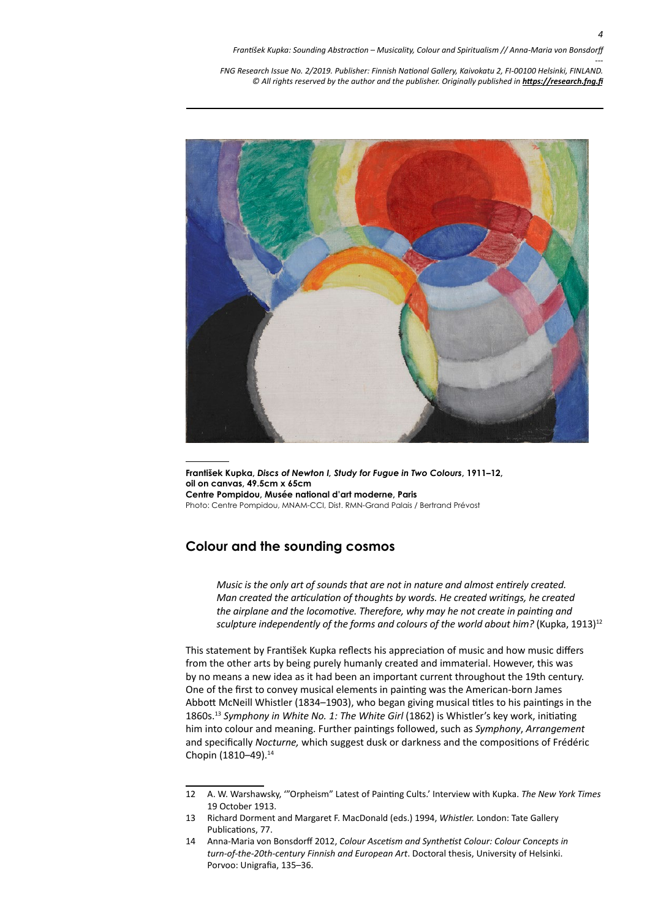

**František Kupka,** *Discs of Newton I, Study for Fugue in Two Colours***, 1911–12, oil on canvas, 49.5cm x 65cm Centre Pompidou, Musée national d'art moderne, Paris** Photo: Centre Pompidou, MNAM-CCI, Dist. RMN-Grand Palais / Bertrand Prévost

### **Colour and the sounding cosmos**

*Music is the only art of sounds that are not in nature and almost entirely created. Man created the articulation of thoughts by words. He created writings, he created the airplane and the locomotive. Therefore, why may he not create in painting and sculpture independently of the forms and colours of the world about him?* (Kupka,  $1913$ )<sup>12</sup>

This statement by František Kupka reflects his appreciation of music and how music differs from the other arts by being purely humanly created and immaterial. However, this was by no means a new idea as it had been an important current throughout the 19th century. One of the first to convey musical elements in painting was the American-born James Abbott McNeill Whistler (1834–1903), who began giving musical titles to his paintings in the 1860s.13 *Symphony in White No. 1: The White Girl* (1862) is Whistler's key work, initiating him into colour and meaning. Further paintings followed, such as *Symphony*, *Arrangement* and specifically *Nocturne,* which suggest dusk or darkness and the compositions of Frédéric Chopin (1810-49).<sup>14</sup>

<sup>12</sup> A. W. Warshawsky, '"Orpheism" Latest of Painting Cults.' Interview with Kupka. *The New York Times* 19 October 1913.

<sup>13</sup> Richard Dorment and Margaret F. MacDonald (eds.) 1994, *Whistler.* London: Tate Gallery Publications, 77.

<sup>14</sup> Anna-Maria von Bonsdorff 2012, *Colour Ascetism and Synthetist Colour: Colour Concepts in turn-of-the-20th-century Finnish and European Art*. Doctoral thesis, University of Helsinki. Porvoo: Unigrafia, 135–36.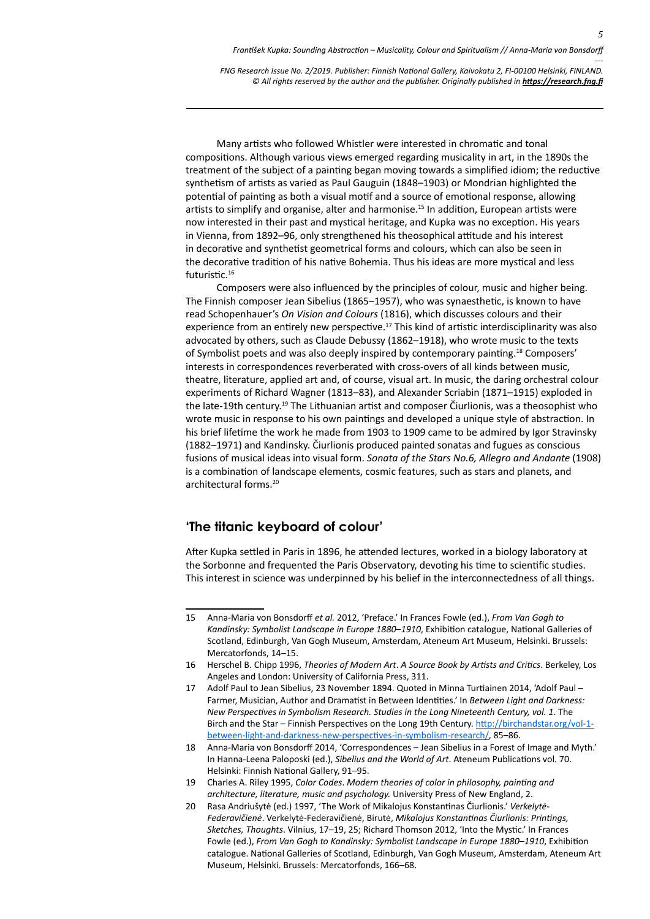Many artists who followed Whistler were interested in chromatic and tonal compositions. Although various views emerged regarding musicality in art, in the 1890s the treatment of the subject of a painting began moving towards a simplified idiom; the reductive synthetism of artists as varied as Paul Gauguin (1848–1903) or Mondrian highlighted the potential of painting as both a visual motif and a source of emotional response, allowing artists to simplify and organise, alter and harmonise.<sup>15</sup> In addition, European artists were now interested in their past and mystical heritage, and Kupka was no exception. His years in Vienna, from 1892–96, only strengthened his theosophical attitude and his interest in decorative and synthetist geometrical forms and colours, which can also be seen in the decorative tradition of his native Bohemia. Thus his ideas are more mystical and less futuristic.16

Composers were also influenced by the principles of colour, music and higher being. The Finnish composer Jean Sibelius (1865–1957), who was synaesthetic, is known to have read Schopenhauer's *On Vision and Colours* (1816), which discusses colours and their experience from an entirely new perspective.<sup>17</sup> This kind of artistic interdisciplinarity was also advocated by others, such as Claude Debussy (1862–1918), who wrote music to the texts of Symbolist poets and was also deeply inspired by contemporary painting.<sup>18</sup> Composers' interests in correspondences reverberated with cross-overs of all kinds between music, theatre, literature, applied art and, of course, visual art. In music, the daring orchestral colour experiments of Richard Wagner (1813–83), and Alexander Scriabin (1871–1915) exploded in the late-19th century.19 The Lithuanian artist and composer Čiurlionis, was a theosophist who wrote music in response to his own paintings and developed a unique style of abstraction. In his brief lifetime the work he made from 1903 to 1909 came to be admired by Igor Stravinsky (1882–1971) and Kandinsky. Čiurlionis produced painted sonatas and fugues as conscious fusions of musical ideas into visual form. *Sonata of the Stars No.6, Allegro and Andante* (1908) is a combination of landscape elements, cosmic features, such as stars and planets, and architectural forms.20

### **'The titanic keyboard of colour'**

After Kupka settled in Paris in 1896, he attended lectures, worked in a biology laboratory at the Sorbonne and frequented the Paris Observatory, devoting his time to scientific studies. This interest in science was underpinned by his belief in the interconnectedness of all things.

*---*

<sup>15</sup> Anna-Maria von Bonsdorff *et al.* 2012, 'Preface.' In Frances Fowle (ed.), *From Van Gogh to Kandinsky: Symbolist Landscape in Europe 1880*–*1910*, Exhibition catalogue, National Galleries of Scotland, Edinburgh, Van Gogh Museum, Amsterdam, Ateneum Art Museum, Helsinki. Brussels: Mercatorfonds, 14–15.

<sup>16</sup> Herschel B. Chipp 1996, *Theories of Modern Art*. *A Source Book by Artists and Critics*. Berkeley, Los Angeles and London: University of California Press, 311.

<sup>17</sup> Adolf Paul to Jean Sibelius, 23 November 1894. Quoted in Minna Turtiainen 2014, 'Adolf Paul – Farmer, Musician, Author and Dramatist in Between Identities.' In *Between Light and Darkness: New Perspectives in Symbolism Research. Studies in the Long Nineteenth Century, vol. 1*. The Birch and the Star – Finnish Perspectives on the Long 19th Century. [http://birchandstar.org/vol-1](http://birchandstar.org/vol-1-between-light-and-darkness-new-perspectives-in-symbolism-research/) [between-light-and-darkness-new-perspectives-in-symbolism-research/,](http://birchandstar.org/vol-1-between-light-and-darkness-new-perspectives-in-symbolism-research/) 85–86.

<sup>18</sup> Anna-Maria von Bonsdorff 2014, 'Correspondences – Jean Sibelius in a Forest of Image and Myth.' In Hanna-Leena Paloposki (ed.), *Sibelius and the World of Art*. Ateneum Publications vol. 70. Helsinki: Finnish National Gallery, 91–95.

<sup>19</sup> Charles A. Riley 1995, *Color Codes*. *Modern theories of color in philosophy, painting and architecture, literature, music and psychology.* University Press of New England, 2.

<sup>20</sup> Rasa Andriušytė (ed.) 1997, 'The Work of Mikalojus Konstantinas Čiurlionis.' *Verkelytė-Federavičienė*. Verkelytė-Federavičienė, Birutė, *Mikalojus Konstantinas Čiurlionis: Printings, Sketches, Thoughts*. Vilnius, 17–19, 25; Richard Thomson 2012, 'Into the Mystic.' In Frances Fowle (ed.), *From Van Gogh to Kandinsky: Symbolist Landscape in Europe 1880*–*1910*, Exhibition catalogue. National Galleries of Scotland, Edinburgh, Van Gogh Museum, Amsterdam, Ateneum Art Museum, Helsinki. Brussels: Mercatorfonds, 166–68.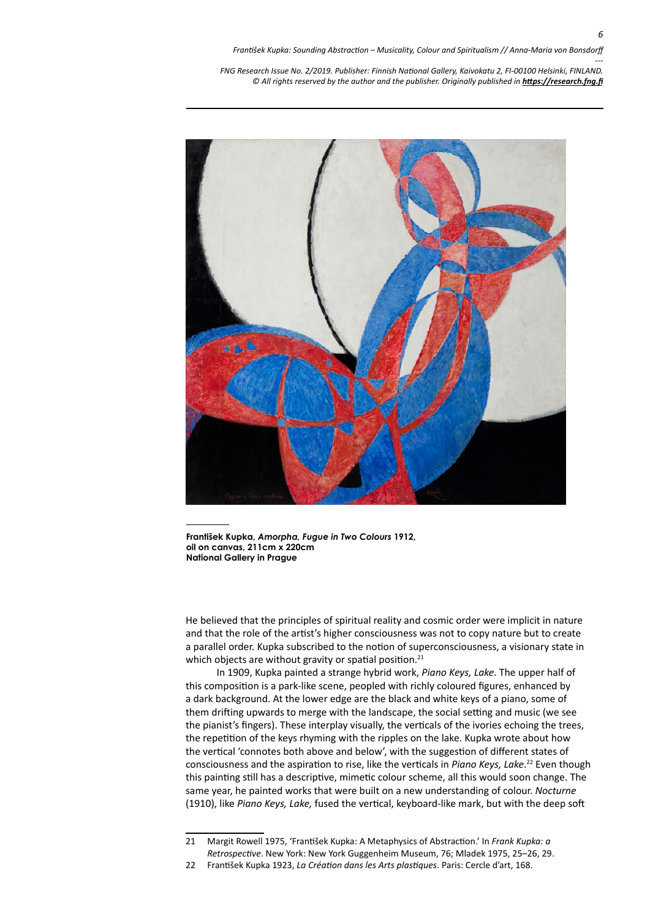

**František Kupka,** *Amorpha, Fugue in Two Colours* **1912, oil on canvas, 211cm x 220cm National Gallery in Prague**

He believed that the principles of spiritual reality and cosmic order were implicit in nature and that the role of the artist's higher consciousness was not to copy nature but to create a parallel order. Kupka subscribed to the notion of superconsciousness, a visionary state in which objects are without gravity or spatial position.<sup>21</sup>

In 1909, Kupka painted a strange hybrid work, *Piano Keys, Lake*. The upper half of this composition is a park-like scene, peopled with richly coloured figures, enhanced by a dark background. At the lower edge are the black and white keys of a piano, some of them drifting upwards to merge with the landscape, the social setting and music (we see the pianist's fingers). These interplay visually, the verticals of the ivories echoing the trees, the repetition of the keys rhyming with the ripples on the lake. Kupka wrote about how the vertical 'connotes both above and below', with the suggestion of different states of consciousness and the aspiration to rise, like the verticals in *Piano Keys, Lake*. 22 Even though this painting still has a descriptive, mimetic colour scheme, all this would soon change. The same year, he painted works that were built on a new understanding of colour. *Nocturne*  (1910), like *Piano Keys, Lake,* fused the vertical, keyboard-like mark, but with the deep soft

<sup>21</sup> Margit Rowell 1975, 'František Kupka: A Metaphysics of Abstraction.' In *Frank Kupka: a Retrospective*. New York: New York Guggenheim Museum, 76; Mladek 1975, 25–26, 29.

<sup>22</sup> František Kupka 1923, *La Création dans les Arts plastiques*. Paris: Cercle d'art, 168.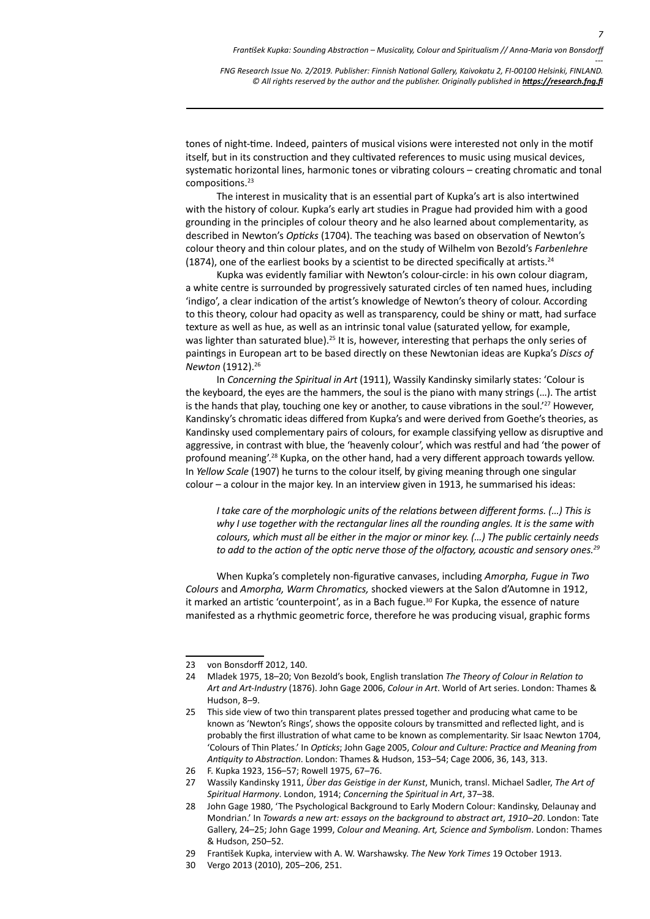tones of night-time. Indeed, painters of musical visions were interested not only in the motif itself, but in its construction and they cultivated references to music using musical devices, systematic horizontal lines, harmonic tones or vibrating colours – creating chromatic and tonal compositions.<sup>23</sup>

The interest in musicality that is an essential part of Kupka's art is also intertwined with the history of colour. Kupka's early art studies in Prague had provided him with a good grounding in the principles of colour theory and he also learned about complementarity, as described in Newton's *Opticks* (1704). The teaching was based on observation of Newton's colour theory and thin colour plates, and on the study of Wilhelm von Bezold's *Farbenlehre* (1874), one of the earliest books by a scientist to be directed specifically at artists.24

Kupka was evidently familiar with Newton's colour-circle: in his own colour diagram, a white centre is surrounded by progressively saturated circles of ten named hues, including 'indigo', a clear indication of the artist's knowledge of Newton's theory of colour. According to this theory, colour had opacity as well as transparency, could be shiny or matt, had surface texture as well as hue, as well as an intrinsic tonal value (saturated yellow, for example, was lighter than saturated blue).<sup>25</sup> It is, however, interesting that perhaps the only series of paintings in European art to be based directly on these Newtonian ideas are Kupka's *Discs of Newton* (1912).26

In *Concerning the Spiritual in Art* (1911), Wassily Kandinsky similarly states: 'Colour is the keyboard, the eyes are the hammers, the soul is the piano with many strings (…). The artist is the hands that play, touching one key or another, to cause vibrations in the soul.<sup>'27</sup> However, Kandinsky's chromatic ideas differed from Kupka's and were derived from Goethe's theories, as Kandinsky used complementary pairs of colours, for example classifying yellow as disruptive and aggressive, in contrast with blue, the 'heavenly colour', which was restful and had 'the power of profound meaning'.28 Kupka, on the other hand, had a very different approach towards yellow. In *Yellow Scale* (1907) he turns to the colour itself, by giving meaning through one singular colour – a colour in the major key. In an interview given in 1913, he summarised his ideas:

*I take care of the morphologic units of the relations between different forms. (…) This is why I use together with the rectangular lines all the rounding angles. It is the same with colours, which must all be either in the major or minor key. (…) The public certainly needs to add to the action of the optic nerve those of the olfactory, acoustic and sensory ones.29*

When Kupka's completely non-figurative canvases, including *Amorpha, Fugue in Two Colours* and *Amorpha, Warm Chromatics,* shocked viewers at the Salon d'Automne in 1912, it marked an artistic 'counterpoint', as in a Bach fugue.<sup>30</sup> For Kupka, the essence of nature manifested as a rhythmic geometric force, therefore he was producing visual, graphic forms

*---*

<sup>23</sup> von Bonsdorff 2012, 140.

<sup>24</sup> Mladek 1975, 18–20; Von Bezold's book, English translation *The Theory of Colour in Relation to Art and Art-Industry* (1876). John Gage 2006, *Colour in Art*. World of Art series. London: Thames & Hudson, 8–9.

<sup>25</sup> This side view of two thin transparent plates pressed together and producing what came to be known as 'Newton's Rings', shows the opposite colours by transmitted and reflected light, and is probably the first illustration of what came to be known as complementarity. Sir Isaac Newton 1704, 'Colours of Thin Plates.' In *Opticks*; John Gage 2005, *Colour and Culture: Practice and Meaning from Antiquity to Abstraction*. London: Thames & Hudson, 153–54; Cage 2006, 36, 143, 313.

<sup>26</sup> F. Kupka 1923, 156–57; Rowell 1975, 67–76.

<sup>27</sup> Wassily Kandinsky 1911, *Über das Geistige in der Kunst*, Munich, transl. Michael Sadler, *The Art of Spiritual Harmony*. London, 1914; *Concerning the Spiritual in Art*, 37–38.

<sup>28</sup> John Gage 1980, 'The Psychological Background to Early Modern Colour: Kandinsky, Delaunay and Mondrian.' In *Towards a new art: essays on the background to abstract art*, *1910–20*. London: Tate Gallery, 24–25; John Gage 1999, *Colour and Meaning. Art, Science and Symbolism*. London: Thames & Hudson, 250–52.

<sup>29</sup> František Kupka, interview with A. W. Warshawsky. *The New York Times* 19 October 1913.

<sup>30</sup> Vergo 2013 (2010), 205–206, 251.